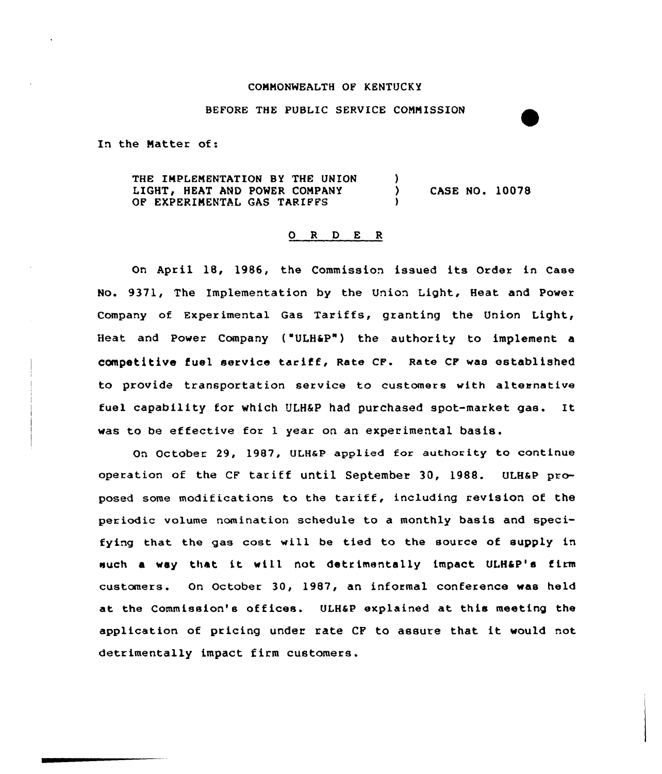## COMMONWEALTH OF KENTUCKY

## BEFORE THE PUBLIC SERVICE COMMISSION

In the Matter of:

THE IMPLEMENTATION BY THE UNION LIGHT, HEAT AND POWER COMPANY OF EXPERIMENTAL GAS TARIFFS ) ) CASE NO. 10078 )

## 0 R <sup>D</sup> E R

On April 18, 1986, the Commission issued its Order in Case No. 9371, The Implementation by the Union Light, Heat and Power Company of Experimental Gas Tariffs, granting the Union Light, Heat and Power Company ("ULH&P") the authority to implement a competitive fuel service tariff, Rate cF. Rate cF was established to provide transportation service to customers with alteanative fuel capability for which ULH&P had purchased spot-market gas. It was to be effective for <sup>1</sup> year on an experimental basis.

On October 29, 1987, ULHaP applied for authority to continue operation of the CF tariff until September 30, 1988. ULHaP proposed some modifications to the tariff, including revision of the periodic volume nomination schedule to a monthly basis and specifying that the gas cost will be tied to the source of supply in such <sup>a</sup> way that it will not detrimentally impact ULH4P's firm customers. On October 30, 1987, an informal conference was held at the Commission's offices. ULH&P explained at this meeting the application of pricing under rate CF to assure that it would not detrimentally impact firm customers.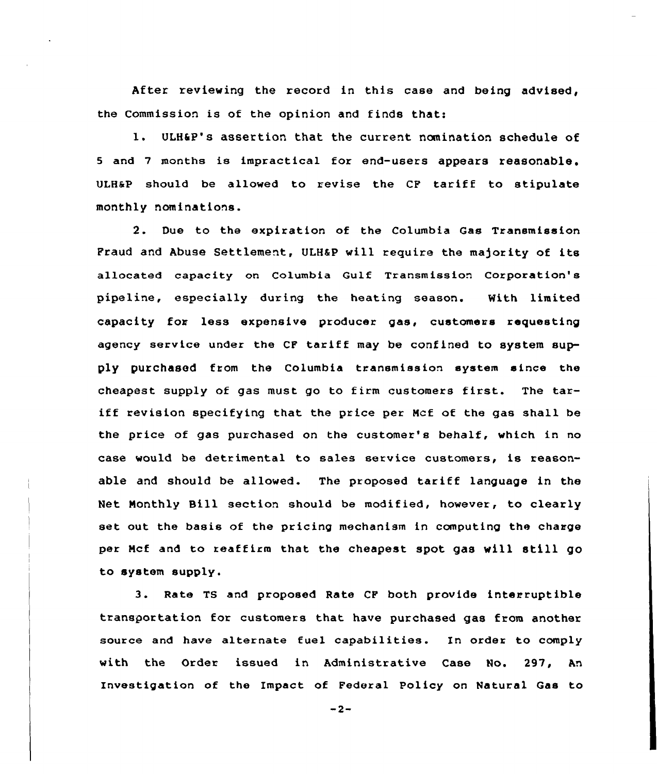After reviewing the record in this case and being advised, the Commission is of the opinion and finds that:

l. ULH6P's assertion that the current nomination schedule of <sup>5</sup> and <sup>7</sup> months is impractical for end-users appears reasonable. ULH&P should be allowed to revise the CF tariff to stipulate monthly nominations.

2. Due to the expiration of the Columbia Gas Transmission Fraud and Abuse Settlement, ULH&P will require the majority of its allocated capacity on Columbia Gulf Txansmission Coxporation's pipeline, especially duxing the heating season. With limited capacity fon less expensive producer gas, customers requesting agency service under the CF tariff may be confined to system supply purchased from the Columbia txansmission system since the cheapest supply of gas must go to fixm customers first. The tariff revision specifying that the price pex Mcf of the gas shall be the price of gas purchased on the customer's behalf, which in no case would be detrimental to sales service customers, is reasonable and should be allowed. The propcsed tariff language in the Net Monthly Bill section should be modified, however, to clearly set out the basis of the pricing mechanism in computing the charge per Mcf and to reaffirm that the cheapest spot gas will still go to system supply.

3. Rate TS and proposed Rate CF both provide interruptible transportation for customers that have purchased gas from another source and have alternate fuel capabilities. In order to comply with the Order issued in Administrative Case No. 297, An Investigation of the Impact of Federal Policy on Natural Gas to

 $-2-$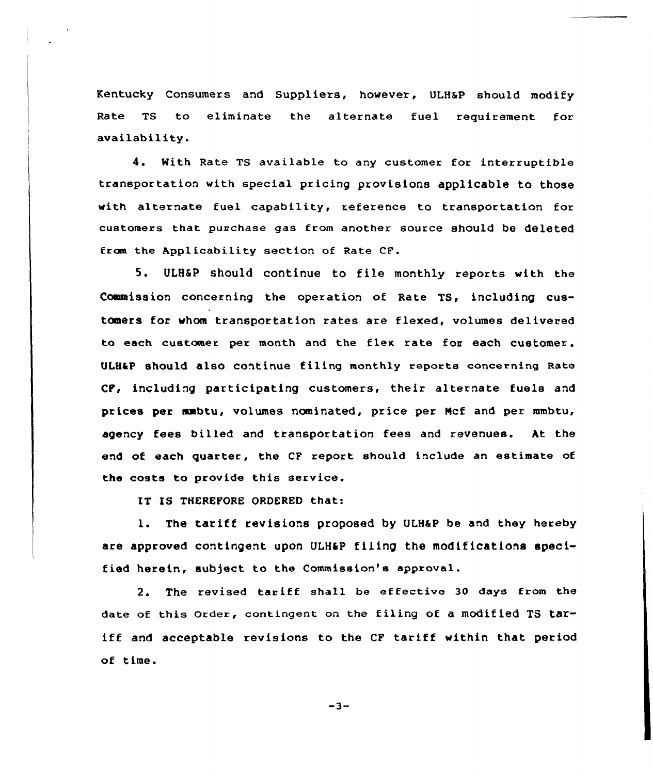Kentucky Consumers and Suppliers, however, ULHSP should modify Rate TS to eliminate the alternate fuel requirement for availability.

4. With Rate TS available to any customer for interruptible transportation with special pricing provisions applicable to those with alternate fuel capability, reference to transportation for customers that purchase gas from another source should be deleted fraa the Applicability section of Rate CF.

5. ULHSP should continue to file monthly reports with the Commission concerning the operation of Rate TS, including customers for whom transportation rates are flexed, volumes delivered to each customer per month and the flex rate for each customer. ULH&P should also continue filing monthly reports concerning Rate CP, including participating customers, their alternate fuels and prices per nwbtu, volumes nominated, price per Hcf and per mmbtu, agency fees billed and transportation fees and revenues. At the end of each quarter, the CF report should include an estimate of the costs to provide this service.

IT IS THEREFORE ORDERED that:

1. The tariff revisions proposed by ULH&P be and they hereby are approved contingent upon ULH&P filing the modifications specified herein, subject to the Commission's approval.

2. The revised tariff shall be effective <sup>30</sup> days from the date of this order, contingent on the filing of a modified TS tariff and acceptable revisions to the CF tariff within that period of time.

 $-3-$